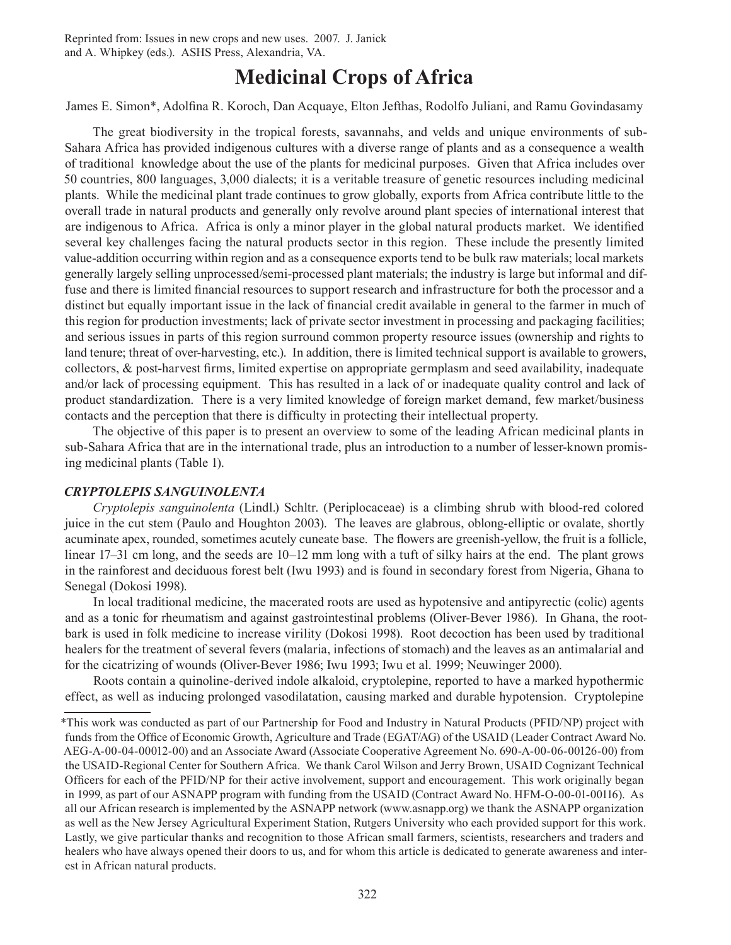Reprinted from: Issues in new crops and new uses. 2007. J. Janick and A. Whipkey (eds.). ASHS Press, Alexandria, VA.

# **Medicinal Crops of Africa**

James E. Simon\*, Adolfina R. Koroch, Dan Acquaye, Elton Jefthas, Rodolfo Juliani, and Ramu Govindasamy

The great biodiversity in the tropical forests, savannahs, and velds and unique environments of sub-Sahara Africa has provided indigenous cultures with a diverse range of plants and as a consequence a wealth of traditional knowledge about the use of the plants for medicinal purposes. Given that Africa includes over 50 countries, 800 languages, 3,000 dialects; it is a veritable treasure of genetic resources including medicinal plants. While the medicinal plant trade continues to grow globally, exports from Africa contribute little to the overall trade in natural products and generally only revolve around plant species of international interest that are indigenous to Africa. Africa is only a minor player in the global natural products market. We identified several key challenges facing the natural products sector in this region. These include the presently limited value-addition occurring within region and as a consequence exports tend to be bulk raw materials; local markets generally largely selling unprocessed/semi-processed plant materials; the industry is large but informal and diffuse and there is limited financial resources to support research and infrastructure for both the processor and a distinct but equally important issue in the lack of financial credit available in general to the farmer in much of this region for production investments; lack of private sector investment in processing and packaging facilities; and serious issues in parts of this region surround common property resource issues (ownership and rights to land tenure; threat of over-harvesting, etc.). In addition, there is limited technical support is available to growers, collectors, & post-harvest firms, limited expertise on appropriate germplasm and seed availability, inadequate and/or lack of processing equipment. This has resulted in a lack of or inadequate quality control and lack of product standardization. There is a very limited knowledge of foreign market demand, few market/business contacts and the perception that there is difficulty in protecting their intellectual property.

The objective of this paper is to present an overview to some of the leading African medicinal plants in sub-Sahara Africa that are in the international trade, plus an introduction to a number of lesser-known promising medicinal plants (Table 1).

## *Cryptolepis sanguinolenta*

*Cryptolepis sanguinolenta* (Lindl.) Schltr. (Periplocaceae) is a climbing shrub with blood-red colored juice in the cut stem (Paulo and Houghton 2003). The leaves are glabrous, oblong-elliptic or ovalate, shortly acuminate apex, rounded, sometimes acutely cuneate base. The flowers are greenish-yellow, the fruit is a follicle, linear 17–31 cm long, and the seeds are 10–12 mm long with a tuft of silky hairs at the end. The plant grows in the rainforest and deciduous forest belt (Iwu 1993) and is found in secondary forest from Nigeria, Ghana to Senegal (Dokosi 1998).

In local traditional medicine, the macerated roots are used as hypotensive and antipyrectic (colic) agents and as a tonic for rheumatism and against gastrointestinal problems (Oliver-Bever 1986). In Ghana, the rootbark is used in folk medicine to increase virility (Dokosi 1998). Root decoction has been used by traditional healers for the treatment of several fevers (malaria, infections of stomach) and the leaves as an antimalarial and for the cicatrizing of wounds (Oliver-Bever 1986; Iwu 1993; Iwu et al. 1999; Neuwinger 2000).

Roots contain a quinoline-derived indole alkaloid, cryptolepine, reported to have a marked hypothermic effect, as well as inducing prolonged vasodilatation, causing marked and durable hypotension. Cryptolepine

<sup>\*</sup>This work was conducted as part of our Partnership for Food and Industry in Natural Products (PFID/NP) project with funds from the Office of Economic Growth, Agriculture and Trade (EGAT/AG) of the USAID (Leader Contract Award No. AEG-A-00-04-00012-00) and an Associate Award (Associate Cooperative Agreement No. 690-A-00-06-00126-00) from the USAID-Regional Center for Southern Africa. We thank Carol Wilson and Jerry Brown, USAID Cognizant Technical Officers for each of the PFID/NP for their active involvement, support and encouragement. This work originally began in 1999, as part of our ASNAPP program with funding from the USAID (Contract Award No. HFM-O-00-01-00116). As all our African research is implemented by the ASNAPP network (www.asnapp.org) we thank the ASNAPP organization as well as the New Jersey Agricultural Experiment Station, Rutgers University who each provided support for this work. Lastly, we give particular thanks and recognition to those African small farmers, scientists, researchers and traders and healers who have always opened their doors to us, and for whom this article is dedicated to generate awareness and interest in African natural products.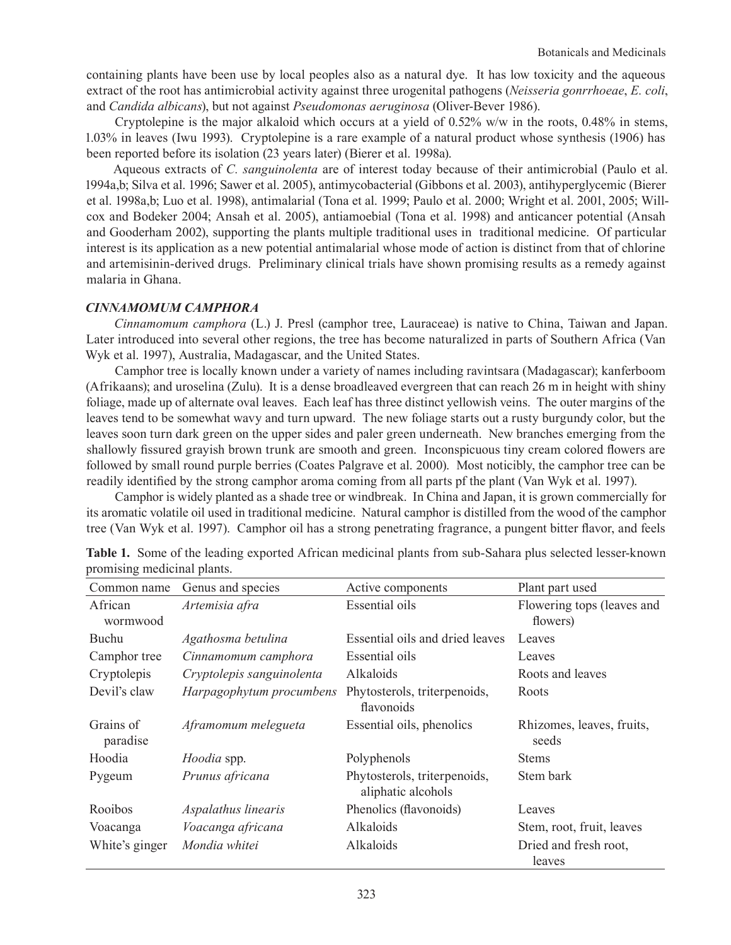containing plants have been use by local peoples also as a natural dye. It has low toxicity and the aqueous extract of the root has antimicrobial activity against three urogenital pathogens (*Neisseria gonrrhoeae*, *E. coli*, and *Candida albicans*), but not against *Pseudomonas aeruginosa* (Oliver-Bever 1986).

Cryptolepine is the major alkaloid which occurs at a yield of  $0.52\%$  w/w in the roots,  $0.48\%$  in stems, 1.03% in leaves (Iwu 1993). Cryptolepine is a rare example of a natural product whose synthesis (1906) has been reported before its isolation (23 years later) (Bierer et al. 1998a).

Aqueous extracts of *C. sanguinolenta* are of interest today because of their antimicrobial (Paulo et al. 1994a,b; Silva et al. 1996; Sawer et al. 2005), antimycobacterial (Gibbons et al. 2003), antihyperglycemic (Bierer et al. 1998a,b; Luo et al. 1998), antimalarial (Tona et al. 1999; Paulo et al. 2000; Wright et al. 2001, 2005; Willcox and Bodeker 2004; Ansah et al. 2005), antiamoebial (Tona et al. 1998) and anticancer potential (Ansah and Gooderham 2002), supporting the plants multiple traditional uses in traditional medicine. Of particular interest is its application as a new potential antimalarial whose mode of action is distinct from that of chlorine and artemisinin-derived drugs. Preliminary clinical trials have shown promising results as a remedy against malaria in Ghana.

# *Cinnamomum camphora*

*Cinnamomum camphora* (L.) J. Presl (camphor tree, Lauraceae) is native to China, Taiwan and Japan. Later introduced into several other regions, the tree has become naturalized in parts of Southern Africa (Van Wyk et al. 1997), Australia, Madagascar, and the United States.

Camphor tree is locally known under a variety of names including ravintsara (Madagascar); kanferboom (Afrikaans); and uroselina (Zulu). It is a dense broadleaved evergreen that can reach 26 m in height with shiny foliage, made up of alternate oval leaves. Each leaf has three distinct yellowish veins. The outer margins of the leaves tend to be somewhat wavy and turn upward. The new foliage starts out a rusty burgundy color, but the leaves soon turn dark green on the upper sides and paler green underneath. New branches emerging from the shallowly fissured grayish brown trunk are smooth and green. Inconspicuous tiny cream colored flowers are followed by small round purple berries (Coates Palgrave et al. 2000). Most noticibly, the camphor tree can be readily identified by the strong camphor aroma coming from all parts pf the plant (Van Wyk et al. 1997).

Camphor is widely planted as a shade tree or windbreak. In China and Japan, it is grown commercially for its aromatic volatile oil used in traditional medicine. Natural camphor is distilled from the wood of the camphor tree (Van Wyk et al. 1997). Camphor oil has a strong penetrating fragrance, a pungent bitter flavor, and feels

| Common name           | Genus and species         | Active components                                  | Plant part used                        |
|-----------------------|---------------------------|----------------------------------------------------|----------------------------------------|
| African<br>wormwood   | Artemisia afra            | <b>Essential oils</b>                              | Flowering tops (leaves and<br>flowers) |
| Buchu                 | Agathosma betulina        | Essential oils and dried leaves                    | Leaves                                 |
| Camphor tree          | Cinnamomum camphora       | Essential oils                                     | Leaves                                 |
| Cryptolepis           | Cryptolepis sanguinolenta | Alkaloids                                          | Roots and leaves                       |
| Devil's claw          | Harpagophytum procumbens  | Phytosterols, triterpenoids,<br>flavonoids         | Roots                                  |
| Grains of<br>paradise | Aframomum melegueta       | Essential oils, phenolics                          | Rhizomes, leaves, fruits,<br>seeds     |
| Hoodia                | Hoodia spp.               | Polyphenols                                        | <b>Stems</b>                           |
| Pygeum                | Prunus africana           | Phytosterols, triterpenoids,<br>aliphatic alcohols | Stem bark                              |
| Rooibos               | Aspalathus linearis       | Phenolics (flavonoids)                             | Leaves                                 |
| Voacanga              | Voacanga africana         | Alkaloids                                          | Stem, root, fruit, leaves              |
| White's ginger        | Mondia whitei             | Alkaloids                                          | Dried and fresh root,<br>leaves        |

**Table 1.** Some of the leading exported African medicinal plants from sub-Sahara plus selected lesser-known promising medicinal plants.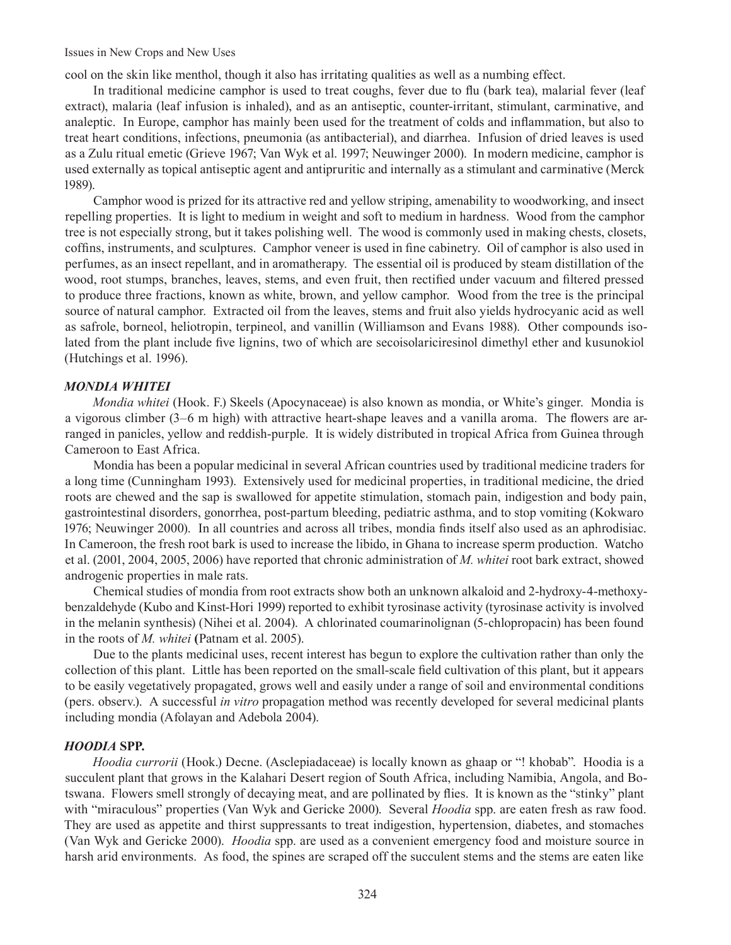Issues in New Crops and New Uses

cool on the skin like menthol, though it also has irritating qualities as well as a numbing effect.

In traditional medicine camphor is used to treat coughs, fever due to flu (bark tea), malarial fever (leaf extract), malaria (leaf infusion is inhaled), and as an antiseptic, counter-irritant, stimulant, carminative, and analeptic. In Europe, camphor has mainly been used for the treatment of colds and inflammation, but also to treat heart conditions, infections, pneumonia (as antibacterial), and diarrhea. Infusion of dried leaves is used as a Zulu ritual emetic (Grieve 1967; Van Wyk et al. 1997; Neuwinger 2000). In modern medicine, camphor is used externally as topical antiseptic agent and antipruritic and internally as a stimulant and carminative (Merck 1989).

Camphor wood is prized for its attractive red and yellow striping, amenability to woodworking, and insect repelling properties. It is light to medium in weight and soft to medium in hardness. Wood from the camphor tree is not especially strong, but it takes polishing well. The wood is commonly used in making chests, closets, coffins, instruments, and sculptures. Camphor veneer is used in fine cabinetry. Oil of camphor is also used in perfumes, as an insect repellant, and in aromatherapy. The essential oil is produced by steam distillation of the wood, root stumps, branches, leaves, stems, and even fruit, then rectified under vacuum and filtered pressed to produce three fractions, known as white, brown, and yellow camphor. Wood from the tree is the principal source of natural camphor. Extracted oil from the leaves, stems and fruit also yields hydrocyanic acid as well as safrole, borneol, heliotropin, terpineol, and vanillin (Williamson and Evans 1988). Other compounds isolated from the plant include five lignins, two of which are secoisolariciresinol dimethyl ether and kusunokiol (Hutchings et al. 1996).

## *Mondia whitei*

*Mondia whitei* (Hook. F.) Skeels (Apocynaceae) is also known as mondia, or White's ginger. Mondia is a vigorous climber (3–6 m high) with attractive heart-shape leaves and a vanilla aroma. The flowers are arranged in panicles, yellow and reddish-purple. It is widely distributed in tropical Africa from Guinea through Cameroon to East Africa.

Mondia has been a popular medicinal in several African countries used by traditional medicine traders for a long time (Cunningham 1993). Extensively used for medicinal properties, in traditional medicine, the dried roots are chewed and the sap is swallowed for appetite stimulation, stomach pain, indigestion and body pain, gastrointestinal disorders, gonorrhea, post-partum bleeding, pediatric asthma, and to stop vomiting (Kokwaro 1976; Neuwinger 2000). In all countries and across all tribes, mondia finds itself also used as an aphrodisiac. In Cameroon, the fresh root bark is used to increase the libido, in Ghana to increase sperm production. Watcho et al. (2001, 2004, 2005, 2006) have reported that chronic administration of *M. whitei* root bark extract, showed androgenic properties in male rats.

Chemical studies of mondia from root extracts show both an unknown alkaloid and 2-hydroxy-4-methoxybenzaldehyde (Kubo and Kinst-Hori 1999) reported to exhibit tyrosinase activity (tyrosinase activity is involved in the melanin synthesis) (Nihei et al. 2004). A chlorinated coumarinolignan (5-chlopropacin) has been found in the roots of *M. whitei* **(**Patnam et al. 2005).

Due to the plants medicinal uses, recent interest has begun to explore the cultivation rather than only the collection of this plant. Little has been reported on the small-scale field cultivation of this plant, but it appears to be easily vegetatively propagated, grows well and easily under a range of soil and environmental conditions (pers. observ.). A successful *in vitro* propagation method was recently developed for several medicinal plants including mondia (Afolayan and Adebola 2004).

## *Hoodia* **spp.**

*Hoodia currorii* (Hook.) Decne. (Asclepiadaceae) is locally known as ghaap or "! khobab". Hoodia is a succulent plant that grows in the Kalahari Desert region of South Africa, including Namibia, Angola, and Botswana. Flowers smell strongly of decaying meat, and are pollinated by flies. It is known as the "stinky" plant with "miraculous" properties (Van Wyk and Gericke 2000). Several *Hoodia* spp. are eaten fresh as raw food. They are used as appetite and thirst suppressants to treat indigestion, hypertension, diabetes, and stomaches (Van Wyk and Gericke 2000). *Hoodia* spp. are used as a convenient emergency food and moisture source in harsh arid environments. As food, the spines are scraped off the succulent stems and the stems are eaten like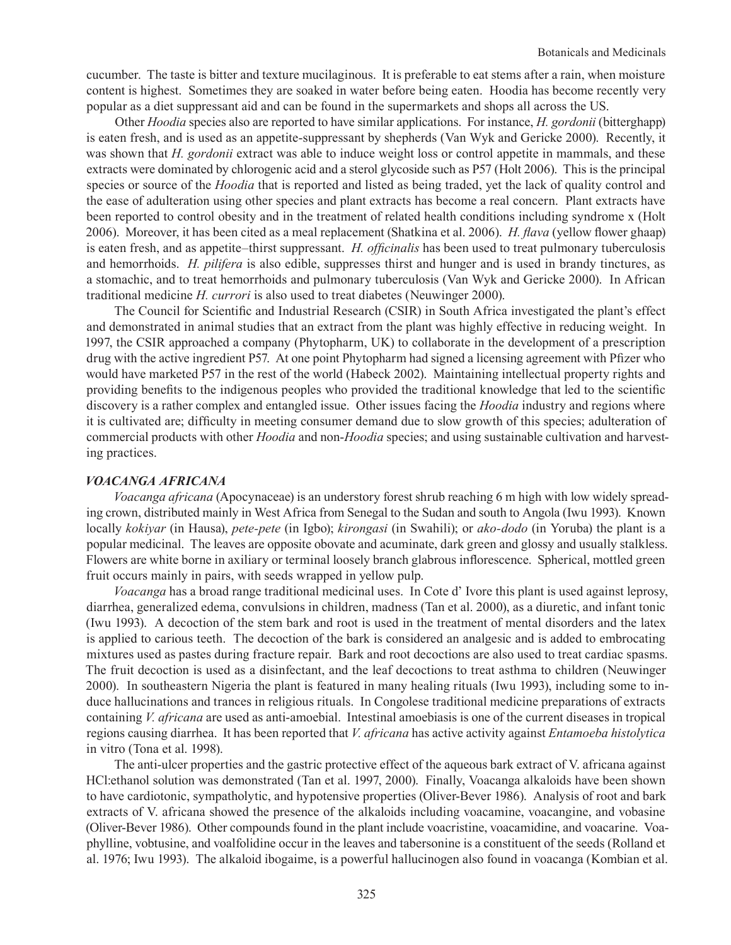cucumber. The taste is bitter and texture mucilaginous. It is preferable to eat stems after a rain, when moisture content is highest. Sometimes they are soaked in water before being eaten. Hoodia has become recently very popular as a diet suppressant aid and can be found in the supermarkets and shops all across the US.

Other *Hoodia* species also are reported to have similar applications. For instance, *H. gordonii* (bitterghapp) is eaten fresh, and is used as an appetite-suppressant by shepherds (Van Wyk and Gericke 2000). Recently, it was shown that *H. gordonii* extract was able to induce weight loss or control appetite in mammals, and these extracts were dominated by chlorogenic acid and a sterol glycoside such as P57 (Holt 2006). This is the principal species or source of the *Hoodia* that is reported and listed as being traded, yet the lack of quality control and the ease of adulteration using other species and plant extracts has become a real concern. Plant extracts have been reported to control obesity and in the treatment of related health conditions including syndrome x (Holt 2006). Moreover, it has been cited as a meal replacement (Shatkina et al. 2006). *H. flava* (yellow flower ghaap) is eaten fresh, and as appetite–thirst suppressant. *H. officinalis* has been used to treat pulmonary tuberculosis and hemorrhoids. *H. pilifera* is also edible, suppresses thirst and hunger and is used in brandy tinctures, as a stomachic, and to treat hemorrhoids and pulmonary tuberculosis (Van Wyk and Gericke 2000). In African traditional medicine *H. currori* is also used to treat diabetes (Neuwinger 2000).

The Council for Scientific and Industrial Research (CSIR) in South Africa investigated the plant's effect and demonstrated in animal studies that an extract from the plant was highly effective in reducing weight. In 1997, the CSIR approached a company (Phytopharm, UK) to collaborate in the development of a prescription drug with the active ingredient P57. At one point Phytopharm had signed a licensing agreement with Pfizer who would have marketed P57 in the rest of the world (Habeck 2002). Maintaining intellectual property rights and providing benefits to the indigenous peoples who provided the traditional knowledge that led to the scientific discovery is a rather complex and entangled issue. Other issues facing the *Hoodia* industry and regions where it is cultivated are; difficulty in meeting consumer demand due to slow growth of this species; adulteration of commercial products with other *Hoodia* and non-*Hoodia* species; and using sustainable cultivation and harvesting practices.

# *Voacanga africana*

*Voacanga africana* (Apocynaceae) is an understory forest shrub reaching 6 m high with low widely spreading crown, distributed mainly in West Africa from Senegal to the Sudan and south to Angola (Iwu 1993). Known locally *kokiyar* (in Hausa), *pete-pete* (in Igbo); *kirongasi* (in Swahili); or *ako-dodo* (in Yoruba) the plant is a popular medicinal. The leaves are opposite obovate and acuminate, dark green and glossy and usually stalkless. Flowers are white borne in axiliary or terminal loosely branch glabrous inflorescence. Spherical, mottled green fruit occurs mainly in pairs, with seeds wrapped in yellow pulp.

*Voacanga* has a broad range traditional medicinal uses. In Cote d' Ivore this plant is used against leprosy, diarrhea, generalized edema, convulsions in children, madness (Tan et al. 2000), as a diuretic, and infant tonic (Iwu 1993). A decoction of the stem bark and root is used in the treatment of mental disorders and the latex is applied to carious teeth. The decoction of the bark is considered an analgesic and is added to embrocating mixtures used as pastes during fracture repair. Bark and root decoctions are also used to treat cardiac spasms. The fruit decoction is used as a disinfectant, and the leaf decoctions to treat asthma to children (Neuwinger 2000). In southeastern Nigeria the plant is featured in many healing rituals (Iwu 1993), including some to induce hallucinations and trances in religious rituals. In Congolese traditional medicine preparations of extracts containing *V. africana* are used as anti-amoebial. Intestinal amoebiasis is one of the current diseases in tropical regions causing diarrhea. It has been reported that *V. africana* has active activity against *Entamoeba histolytica* in vitro (Tona et al. 1998).

The anti-ulcer properties and the gastric protective effect of the aqueous bark extract of V. africana against HCl:ethanol solution was demonstrated (Tan et al. 1997, 2000). Finally, Voacanga alkaloids have been shown to have cardiotonic, sympatholytic, and hypotensive properties (Oliver-Bever 1986). Analysis of root and bark extracts of V. africana showed the presence of the alkaloids including voacamine, voacangine, and vobasine (Oliver-Bever 1986). Other compounds found in the plant include voacristine, voacamidine, and voacarine. Voaphylline, vobtusine, and voalfolidine occur in the leaves and tabersonine is a constituent of the seeds (Rolland et al. 1976; Iwu 1993). The alkaloid ibogaime, is a powerful hallucinogen also found in voacanga (Kombian et al.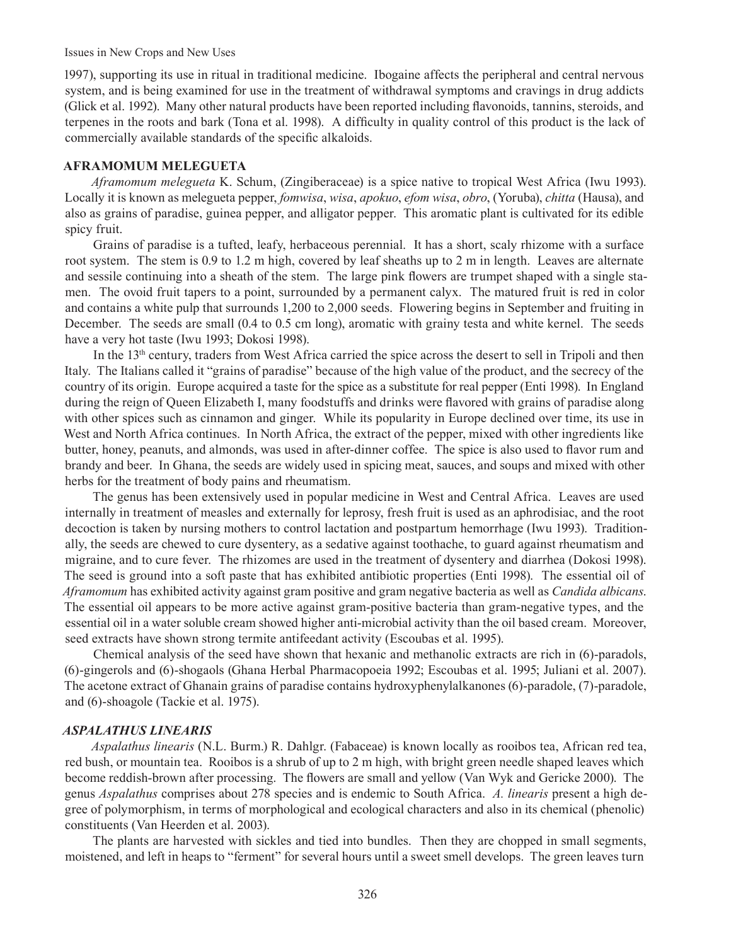Issues in New Crops and New Uses

1997), supporting its use in ritual in traditional medicine. Ibogaine affects the peripheral and central nervous system, and is being examined for use in the treatment of withdrawal symptoms and cravings in drug addicts (Glick et al. 1992). Many other natural products have been reported including flavonoids, tannins, steroids, and terpenes in the roots and bark (Tona et al. 1998). A difficulty in quality control of this product is the lack of commercially available standards of the specific alkaloids.

## **Aframomum melegueta**

*Aframomum melegueta* K. Schum, (Zingiberaceae) is a spice native to tropical West Africa (Iwu 1993). Locally it is known as melegueta pepper, *fomwisa*, *wisa*, *apokuo*, *efom wisa*, *obro*, (Yoruba), *chitta* (Hausa), and also as grains of paradise, guinea pepper, and alligator pepper. This aromatic plant is cultivated for its edible spicy fruit.

Grains of paradise is a tufted, leafy, herbaceous perennial. It has a short, scaly rhizome with a surface root system. The stem is 0.9 to 1.2 m high, covered by leaf sheaths up to 2 m in length. Leaves are alternate and sessile continuing into a sheath of the stem. The large pink flowers are trumpet shaped with a single stamen. The ovoid fruit tapers to a point, surrounded by a permanent calyx. The matured fruit is red in color and contains a white pulp that surrounds 1,200 to 2,000 seeds. Flowering begins in September and fruiting in December. The seeds are small (0.4 to 0.5 cm long), aromatic with grainy testa and white kernel. The seeds have a very hot taste (Iwu 1993; Dokosi 1998).

In the 13<sup>th</sup> century, traders from West Africa carried the spice across the desert to sell in Tripoli and then Italy. The Italians called it "grains of paradise" because of the high value of the product, and the secrecy of the country of its origin. Europe acquired a taste for the spice as a substitute for real pepper (Enti 1998). In England during the reign of Queen Elizabeth I, many foodstuffs and drinks were flavored with grains of paradise along with other spices such as cinnamon and ginger. While its popularity in Europe declined over time, its use in West and North Africa continues. In North Africa, the extract of the pepper, mixed with other ingredients like butter, honey, peanuts, and almonds, was used in after-dinner coffee. The spice is also used to flavor rum and brandy and beer. In Ghana, the seeds are widely used in spicing meat, sauces, and soups and mixed with other herbs for the treatment of body pains and rheumatism.

The genus has been extensively used in popular medicine in West and Central Africa. Leaves are used internally in treatment of measles and externally for leprosy, fresh fruit is used as an aphrodisiac, and the root decoction is taken by nursing mothers to control lactation and postpartum hemorrhage (Iwu 1993). Traditionally, the seeds are chewed to cure dysentery, as a sedative against toothache, to guard against rheumatism and migraine, and to cure fever. The rhizomes are used in the treatment of dysentery and diarrhea (Dokosi 1998). The seed is ground into a soft paste that has exhibited antibiotic properties (Enti 1998). The essential oil of *Aframomum* has exhibited activity against gram positive and gram negative bacteria as well as *Candida albicans*. The essential oil appears to be more active against gram-positive bacteria than gram-negative types, and the essential oil in a water soluble cream showed higher anti-microbial activity than the oil based cream. Moreover, seed extracts have shown strong termite antifeedant activity (Escoubas et al. 1995).

Chemical analysis of the seed have shown that hexanic and methanolic extracts are rich in (6)-paradols, (6)-gingerols and (6)-shogaols (Ghana Herbal Pharmacopoeia 1992; Escoubas et al. 1995; Juliani et al. 2007). The acetone extract of Ghanain grains of paradise contains hydroxyphenylalkanones (6)-paradole, (7)-paradole, and (6)-shoagole (Tackie et al. 1975).

# *Aspalathus linearis*

*Aspalathus linearis* (N.L. Burm.) R. Dahlgr. (Fabaceae) is known locally as rooibos tea, African red tea, red bush, or mountain tea. Rooibos is a shrub of up to 2 m high, with bright green needle shaped leaves which become reddish-brown after processing. The flowers are small and yellow (Van Wyk and Gericke 2000). The genus *Aspalathus* comprises about 278 species and is endemic to South Africa. *A. linearis* present a high degree of polymorphism, in terms of morphological and ecological characters and also in its chemical (phenolic) constituents (Van Heerden et al. 2003).

The plants are harvested with sickles and tied into bundles. Then they are chopped in small segments, moistened, and left in heaps to "ferment" for several hours until a sweet smell develops. The green leaves turn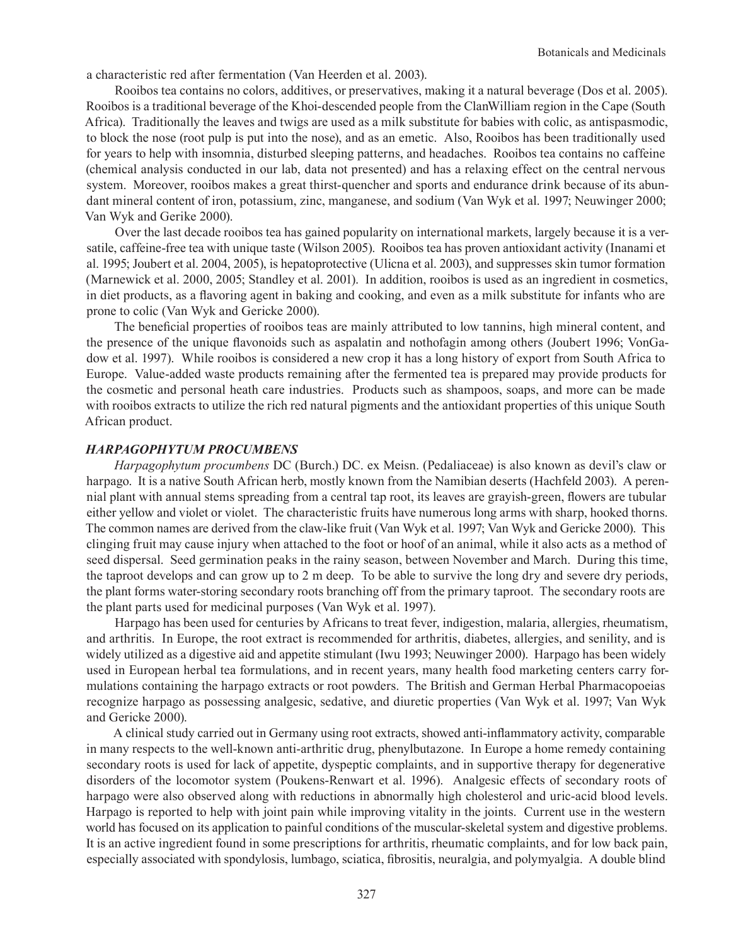a characteristic red after fermentation (Van Heerden et al. 2003).

Rooibos tea contains no colors, additives, or preservatives, making it a natural beverage (Dos et al. 2005). Rooibos is a traditional beverage of the Khoi-descended people from the ClanWilliam region in the Cape (South Africa). Traditionally the leaves and twigs are used as a milk substitute for babies with colic, as antispasmodic, to block the nose (root pulp is put into the nose), and as an emetic. Also, Rooibos has been traditionally used for years to help with insomnia, disturbed sleeping patterns, and headaches. Rooibos tea contains no caffeine (chemical analysis conducted in our lab, data not presented) and has a relaxing effect on the central nervous system. Moreover, rooibos makes a great thirst-quencher and sports and endurance drink because of its abundant mineral content of iron, potassium, zinc, manganese, and sodium (Van Wyk et al. 1997; Neuwinger 2000; Van Wyk and Gerike 2000).

Over the last decade rooibos tea has gained popularity on international markets, largely because it is a versatile, caffeine-free tea with unique taste (Wilson 2005). Rooibos tea has proven antioxidant activity (Inanami et al. 1995; Joubert et al. 2004, 2005), is hepatoprotective (Ulicna et al. 2003), and suppresses skin tumor formation (Marnewick et al. 2000, 2005; Standley et al. 2001). In addition, rooibos is used as an ingredient in cosmetics, in diet products, as a flavoring agent in baking and cooking, and even as a milk substitute for infants who are prone to colic (Van Wyk and Gericke 2000).

The beneficial properties of rooibos teas are mainly attributed to low tannins, high mineral content, and the presence of the unique flavonoids such as aspalatin and nothofagin among others (Joubert 1996; VonGadow et al. 1997). While rooibos is considered a new crop it has a long history of export from South Africa to Europe. Value-added waste products remaining after the fermented tea is prepared may provide products for the cosmetic and personal heath care industries. Products such as shampoos, soaps, and more can be made with rooibos extracts to utilize the rich red natural pigments and the antioxidant properties of this unique South African product.

# *Harpagophytum procumbens*

*Harpagophytum procumbens* DC (Burch.) DC. ex Meisn. (Pedaliaceae) is also known as devil's claw or harpago. It is a native South African herb, mostly known from the Namibian deserts (Hachfeld 2003). A perennial plant with annual stems spreading from a central tap root, its leaves are grayish-green, flowers are tubular either yellow and violet or violet. The characteristic fruits have numerous long arms with sharp, hooked thorns. The common names are derived from the claw-like fruit (Van Wyk et al. 1997; Van Wyk and Gericke 2000). This clinging fruit may cause injury when attached to the foot or hoof of an animal, while it also acts as a method of seed dispersal. Seed germination peaks in the rainy season, between November and March. During this time, the taproot develops and can grow up to 2 m deep. To be able to survive the long dry and severe dry periods, the plant forms water-storing secondary roots branching off from the primary taproot. The secondary roots are the plant parts used for medicinal purposes (Van Wyk et al. 1997).

Harpago has been used for centuries by Africans to treat fever, indigestion, malaria, allergies, rheumatism, and arthritis. In Europe, the root extract is recommended for arthritis, diabetes, allergies, and senility, and is widely utilized as a digestive aid and appetite stimulant (Iwu 1993; Neuwinger 2000). Harpago has been widely used in European herbal tea formulations, and in recent years, many health food marketing centers carry formulations containing the harpago extracts or root powders. The British and German Herbal Pharmacopoeias recognize harpago as possessing analgesic, sedative, and diuretic properties (Van Wyk et al. 1997; Van Wyk and Gericke 2000).

A clinical study carried out in Germany using root extracts, showed anti-inflammatory activity, comparable in many respects to the well-known anti-arthritic drug, phenylbutazone. In Europe a home remedy containing secondary roots is used for lack of appetite, dyspeptic complaints, and in supportive therapy for degenerative disorders of the locomotor system (Poukens-Renwart et al. 1996). Analgesic effects of secondary roots of harpago were also observed along with reductions in abnormally high cholesterol and uric-acid blood levels. Harpago is reported to help with joint pain while improving vitality in the joints. Current use in the western world has focused on its application to painful conditions of the muscular-skeletal system and digestive problems. It is an active ingredient found in some prescriptions for arthritis, rheumatic complaints, and for low back pain, especially associated with spondylosis, lumbago, sciatica, fibrositis, neuralgia, and polymyalgia. A double blind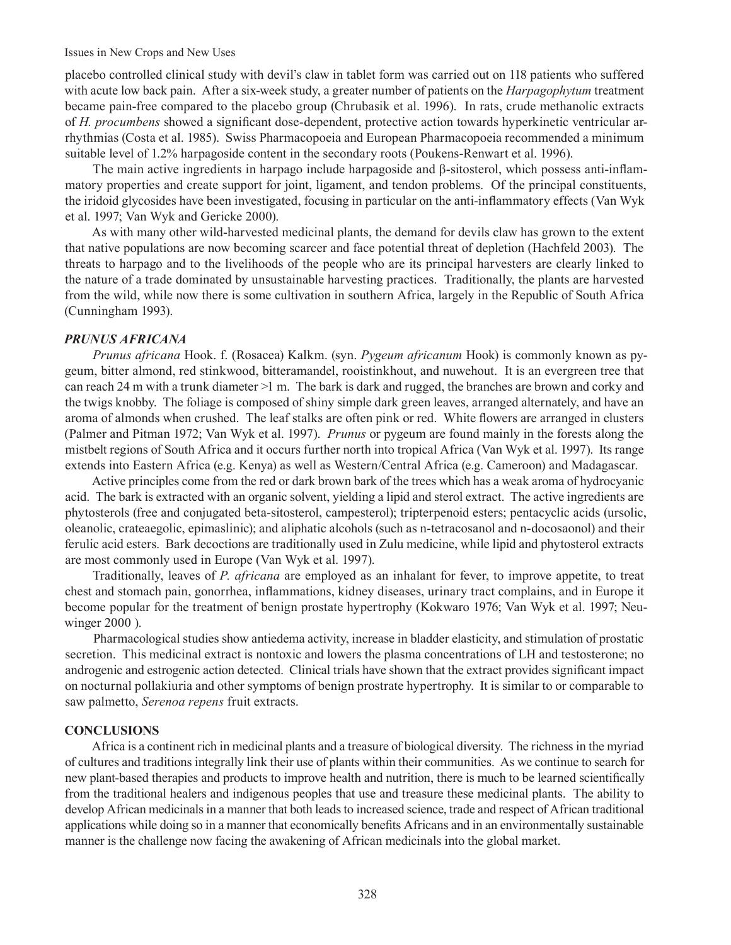#### Issues in New Crops and New Uses

placebo controlled clinical study with devil's claw in tablet form was carried out on 118 patients who suffered with acute low back pain. After a six-week study, a greater number of patients on the *Harpagophytum* treatment became pain-free compared to the placebo group (Chrubasik et al. 1996). In rats, crude methanolic extracts of *H. procumbens* showed a significant dose-dependent, protective action towards hyperkinetic ventricular arrhythmias (Costa et al. 1985). Swiss Pharmacopoeia and European Pharmacopoeia recommended a minimum suitable level of 1.2% harpagoside content in the secondary roots (Poukens-Renwart et al. 1996).

The main active ingredients in harpago include harpagoside and β-sitosterol, which possess anti-inflammatory properties and create support for joint, ligament, and tendon problems. Of the principal constituents, the iridoid glycosides have been investigated, focusing in particular on the anti-inflammatory effects (Van Wyk et al. 1997; Van Wyk and Gericke 2000).

As with many other wild-harvested medicinal plants, the demand for devils claw has grown to the extent that native populations are now becoming scarcer and face potential threat of depletion (Hachfeld 2003). The threats to harpago and to the livelihoods of the people who are its principal harvesters are clearly linked to the nature of a trade dominated by unsustainable harvesting practices. Traditionally, the plants are harvested from the wild, while now there is some cultivation in southern Africa, largely in the Republic of South Africa (Cunningham 1993).

#### *Prunus africana*

*Prunus africana* Hook. f. (Rosacea) Kalkm. (syn. *Pygeum africanum* Hook) is commonly known as pygeum, bitter almond, red stinkwood, bitteramandel, rooistinkhout, and nuwehout. It is an evergreen tree that can reach 24 m with a trunk diameter >1 m. The bark is dark and rugged, the branches are brown and corky and the twigs knobby. The foliage is composed of shiny simple dark green leaves, arranged alternately, and have an aroma of almonds when crushed. The leaf stalks are often pink or red. White flowers are arranged in clusters (Palmer and Pitman 1972; Van Wyk et al. 1997). *Prunus* or pygeum are found mainly in the forests along the mistbelt regions of South Africa and it occurs further north into tropical Africa (Van Wyk et al. 1997). Its range extends into Eastern Africa (e.g. Kenya) as well as Western/Central Africa (e.g. Cameroon) and Madagascar.

Active principles come from the red or dark brown bark of the trees which has a weak aroma of hydrocyanic acid. The bark is extracted with an organic solvent, yielding a lipid and sterol extract. The active ingredients are phytosterols (free and conjugated beta-sitosterol, campesterol); tripterpenoid esters; pentacyclic acids (ursolic, oleanolic, crateaegolic, epimaslinic); and aliphatic alcohols (such as n-tetracosanol and n-docosaonol) and their ferulic acid esters. Bark decoctions are traditionally used in Zulu medicine, while lipid and phytosterol extracts are most commonly used in Europe (Van Wyk et al. 1997).

Traditionally, leaves of *P. africana* are employed as an inhalant for fever, to improve appetite, to treat chest and stomach pain, gonorrhea, inflammations, kidney diseases, urinary tract complains, and in Europe it become popular for the treatment of benign prostate hypertrophy (Kokwaro 1976; Van Wyk et al. 1997; Neuwinger 2000 ).

Pharmacological studies show antiedema activity, increase in bladder elasticity, and stimulation of prostatic secretion. This medicinal extract is nontoxic and lowers the plasma concentrations of LH and testosterone; no androgenic and estrogenic action detected. Clinical trials have shown that the extract provides significant impact on nocturnal pollakiuria and other symptoms of benign prostrate hypertrophy. It is similar to or comparable to saw palmetto, *Serenoa repens* fruit extracts.

#### **Conclusions**

Africa is a continent rich in medicinal plants and a treasure of biological diversity. The richness in the myriad of cultures and traditions integrally link their use of plants within their communities. As we continue to search for new plant-based therapies and products to improve health and nutrition, there is much to be learned scientifically from the traditional healers and indigenous peoples that use and treasure these medicinal plants. The ability to develop African medicinals in a manner that both leads to increased science, trade and respect of African traditional applications while doing so in a manner that economically benefits Africans and in an environmentally sustainable manner is the challenge now facing the awakening of African medicinals into the global market.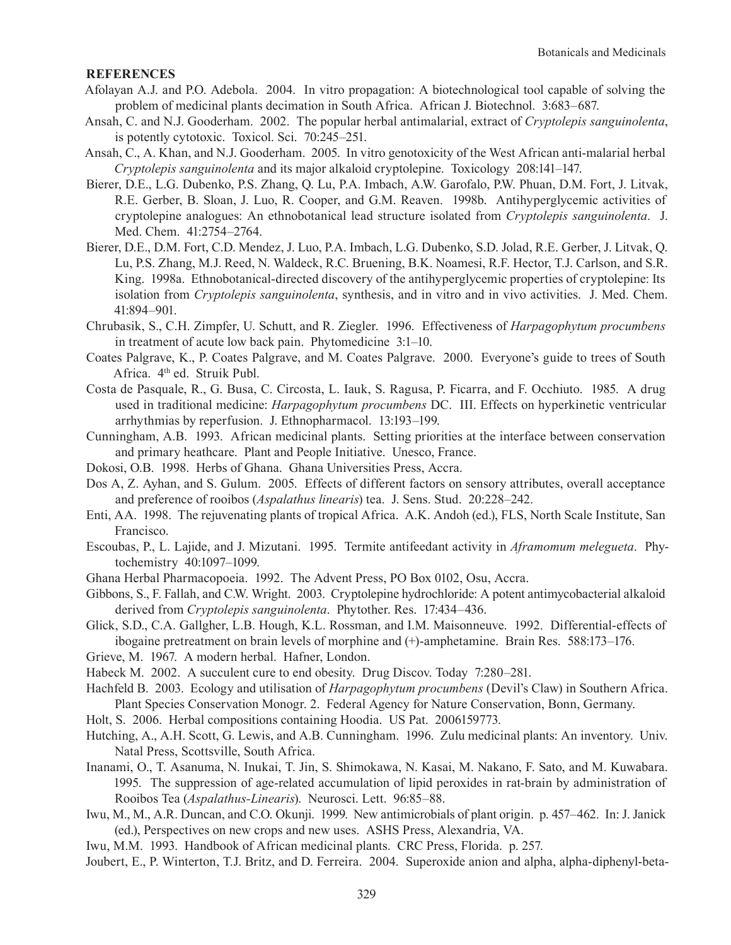## **References**

- Afolayan A.J. and P.O. Adebola. 2004. In vitro propagation: A biotechnological tool capable of solving the problem of medicinal plants decimation in South Africa. African J. Biotechnol. 3:683–687.
- Ansah, C. and N.J. Gooderham. 2002. The popular herbal antimalarial, extract of *Cryptolepis sanguinolenta*, is potently cytotoxic. Toxicol. Sci. 70:245–251.
- Ansah, C., A. Khan, and N.J. Gooderham. 2005. In vitro genotoxicity of the West African anti-malarial herbal *Cryptolepis sanguinolenta* and its major alkaloid cryptolepine. Toxicology 208:141–147.
- Bierer, D.E., L.G. Dubenko, P.S. Zhang, Q. Lu, P.A. Imbach, A.W. Garofalo, P.W. Phuan, D.M. Fort, J. Litvak, R.E. Gerber, B. Sloan, J. Luo, R. Cooper, and G.M. Reaven. 1998b. Antihyperglycemic activities of cryptolepine analogues: An ethnobotanical lead structure isolated from *Cryptolepis sanguinolenta*. J. Med. Chem. 41:2754–2764.
- Bierer, D.E., D.M. Fort, C.D. Mendez, J. Luo, P.A. Imbach, L.G. Dubenko, S.D. Jolad, R.E. Gerber, J. Litvak, Q. Lu, P.S. Zhang, M.J. Reed, N. Waldeck, R.C. Bruening, B.K. Noamesi, R.F. Hector, T.J. Carlson, and S.R. King. 1998a. Ethnobotanical-directed discovery of the antihyperglycemic properties of cryptolepine: Its isolation from *Cryptolepis sanguinolenta*, synthesis, and in vitro and in vivo activities. J. Med. Chem. 41:894–901.
- Chrubasik, S., C.H. Zimpfer, U. Schutt, and R. Ziegler. 1996. Effectiveness of *Harpagophytum procumbens* in treatment of acute low back pain. Phytomedicine 3:1–10.
- Coates Palgrave, K., P. Coates Palgrave, and M. Coates Palgrave. 2000. Everyone's guide to trees of South Africa. 4<sup>th</sup> ed. Struik Publ.
- Costa de Pasquale, R., G. Busa, C. Circosta, L. Iauk, S. Ragusa, P. Ficarra, and F. Occhiuto. 1985. A drug used in traditional medicine: *Harpagophytum procumbens* DC. III. Effects on hyperkinetic ventricular arrhythmias by reperfusion. J. Ethnopharmacol. 13:193–199.
- Cunningham, A.B. 1993. African medicinal plants. Setting priorities at the interface between conservation and primary heathcare. Plant and People Initiative. Unesco, France.
- Dokosi, O.B. 1998. Herbs of Ghana. Ghana Universities Press, Accra.
- Dos A, Z. Ayhan, and S. Gulum. 2005. Effects of different factors on sensory attributes, overall acceptance and preference of rooibos (*Aspalathus linearis*) tea. J. Sens. Stud. 20:228–242.
- Enti, AA. 1998. The rejuvenating plants of tropical Africa. A.K. Andoh (ed.), FLS, North Scale Institute, San Francisco.
- Escoubas, P., L. Lajide, and J. Mizutani. 1995. Termite antifeedant activity in *Aframomum melegueta*. Phytochemistry 40:1097–1099.
- Ghana Herbal Pharmacopoeia. 1992. The Advent Press, PO Box 0102, Osu, Accra.
- Gibbons, S., F. Fallah, and C.W. Wright. 2003. Cryptolepine hydrochloride: A potent antimycobacterial alkaloid derived from *Cryptolepis sanguinolenta*. Phytother. Res. 17:434–436.
- Glick, S.D., C.A. Gallgher, L.B. Hough, K.L. Rossman, and I.M. Maisonneuve. 1992. Differential-effects of ibogaine pretreatment on brain levels of morphine and (+)-amphetamine. Brain Res. 588:173–176.
- Grieve, M. 1967. A modern herbal. Hafner, London.
- Habeck M. 2002. A succulent cure to end obesity. Drug Discov. Today 7:280–281.
- Hachfeld B. 2003. Ecology and utilisation of *Harpagophytum procumbens* (Devil's Claw) in Southern Africa. Plant Species Conservation Monogr. 2. Federal Agency for Nature Conservation, Bonn, Germany.
- Holt, S. 2006. Herbal compositions containing Hoodia. US Pat. 2006159773.
- Hutching, A., A.H. Scott, G. Lewis, and A.B. Cunningham. 1996. Zulu medicinal plants: An inventory. Univ. Natal Press, Scottsville, South Africa.
- Inanami, O., T. Asanuma, N. Inukai, T. Jin, S. Shimokawa, N. Kasai, M. Nakano, F. Sato, and M. Kuwabara. 1995. The suppression of age-related accumulation of lipid peroxides in rat-brain by administration of Rooibos Tea (*Aspalathus-Linearis*). Neurosci. Lett. 96:85–88.
- Iwu, M., M., A.R. Duncan, and C.O. Okunji. 1999. New antimicrobials of plant origin. p. 457–462. In: J. Janick (ed.), Perspectives on new crops and new uses. ASHS Press, Alexandria, VA.
- Iwu, M.M. 1993. Handbook of African medicinal plants. CRC Press, Florida. p. 257.
- Joubert, E., P. Winterton, T.J. Britz, and D. Ferreira. 2004. Superoxide anion and alpha, alpha-diphenyl-beta-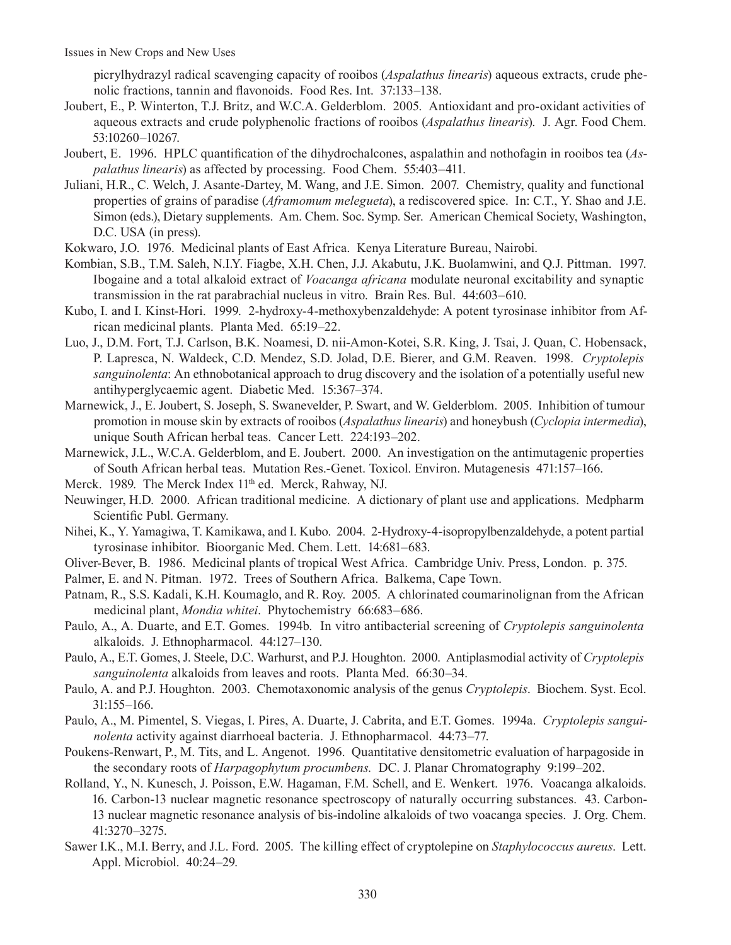picrylhydrazyl radical scavenging capacity of rooibos (*Aspalathus linearis*) aqueous extracts, crude phenolic fractions, tannin and flavonoids. Food Res. Int. 37:133–138.

- Joubert, E., P. Winterton, T.J. Britz, and W.C.A. Gelderblom. 2005. Antioxidant and pro-oxidant activities of aqueous extracts and crude polyphenolic fractions of rooibos (*Aspalathus linearis*). J. Agr. Food Chem. 53:10260–10267.
- Joubert, E. 1996. HPLC quantification of the dihydrochalcones, aspalathin and nothofagin in rooibos tea (*Aspalathus linearis*) as affected by processing. Food Chem. 55:403–411.
- Juliani, H.R., C. Welch, J. Asante-Dartey, M. Wang, and J.E. Simon. 2007. Chemistry, quality and functional properties of grains of paradise (*Aframomum melegueta*), a rediscovered spice. In: C.T., Y. Shao and J.E. Simon (eds.), Dietary supplements. Am. Chem. Soc. Symp. Ser. American Chemical Society, Washington, D.C. USA (in press).
- Kokwaro, J.O. 1976. Medicinal plants of East Africa. Kenya Literature Bureau, Nairobi.
- Kombian, S.B., T.M. Saleh, N.I.Y. Fiagbe, X.H. Chen, J.J. Akabutu, J.K. Buolamwini, and Q.J. Pittman. 1997. Ibogaine and a total alkaloid extract of *Voacanga africana* modulate neuronal excitability and synaptic transmission in the rat parabrachial nucleus in vitro. Brain Res. Bul. 44:603–610.
- Kubo, I. and I. Kinst-Hori. 1999. 2-hydroxy-4-methoxybenzaldehyde: A potent tyrosinase inhibitor from African medicinal plants. Planta Med. 65:19–22.
- Luo, J., D.M. Fort, T.J. Carlson, B.K. Noamesi, D. nii-Amon-Kotei, S.R. King, J. Tsai, J. Quan, C. Hobensack, P. Lapresca, N. Waldeck, C.D. Mendez, S.D. Jolad, D.E. Bierer, and G.M. Reaven. 1998. *Cryptolepis sanguinolenta*: An ethnobotanical approach to drug discovery and the isolation of a potentially useful new antihyperglycaemic agent. Diabetic Med. 15:367–374.
- Marnewick, J., E. Joubert, S. Joseph, S. Swanevelder, P. Swart, and W. Gelderblom. 2005. Inhibition of tumour promotion in mouse skin by extracts of rooibos (*Aspalathus linearis*) and honeybush (*Cyclopia intermedia*), unique South African herbal teas. Cancer Lett. 224:193–202.
- Marnewick, J.L., W.C.A. Gelderblom, and E. Joubert. 2000. An investigation on the antimutagenic properties of South African herbal teas. Mutation Res.-Genet. Toxicol. Environ. Mutagenesis 471:157–166.
- Merck. 1989. The Merck Index 11<sup>th</sup> ed. Merck, Rahway, NJ.
- Neuwinger, H.D. 2000. African traditional medicine. A dictionary of plant use and applications. Medpharm Scientific Publ. Germany.
- Nihei, K., Y. Yamagiwa, T. Kamikawa, and I. Kubo. 2004. 2-Hydroxy-4-isopropylbenzaldehyde, a potent partial tyrosinase inhibitor. Bioorganic Med. Chem. Lett. 14:681–683.
- Oliver-Bever, B. 1986. Medicinal plants of tropical West Africa. Cambridge Univ. Press, London. p. 375.
- Palmer, E. and N. Pitman. 1972. Trees of Southern Africa. Balkema, Cape Town.
- Patnam, R., S.S. Kadali, K.H. Koumaglo, and R. Roy. 2005. A chlorinated coumarinolignan from the African medicinal plant, *Mondia whitei*. Phytochemistry 66:683–686.
- Paulo, A., A. Duarte, and E.T. Gomes. 1994b. In vitro antibacterial screening of *Cryptolepis sanguinolenta*  alkaloids. J. Ethnopharmacol. 44:127–130.
- Paulo, A., E.T. Gomes, J. Steele, D.C. Warhurst, and P.J. Houghton. 2000. Antiplasmodial activity of *Cryptolepis sanguinolenta* alkaloids from leaves and roots. Planta Med. 66:30–34.
- Paulo, A. and P.J. Houghton. 2003. Chemotaxonomic analysis of the genus *Cryptolepis*. Biochem. Syst. Ecol. 31:155–166.
- Paulo, A., M. Pimentel, S. Viegas, I. Pires, A. Duarte, J. Cabrita, and E.T. Gomes. 1994a. *Cryptolepis sanguinolenta* activity against diarrhoeal bacteria. J. Ethnopharmacol. 44:73–77.
- Poukens-Renwart, P., M. Tits, and L. Angenot. 1996. Quantitative densitometric evaluation of harpagoside in the secondary roots of *Harpagophytum procumbens.* DC. J. Planar Chromatography 9:199–202.
- Rolland, Y., N. Kunesch, J. Poisson, E.W. Hagaman, F.M. Schell, and E. Wenkert. 1976. Voacanga alkaloids. 16. Carbon-13 nuclear magnetic resonance spectroscopy of naturally occurring substances. 43. Carbon-13 nuclear magnetic resonance analysis of bis-indoline alkaloids of two voacanga species. J. Org. Chem. 41:3270–3275.
- Sawer I.K., M.I. Berry, and J.L. Ford. 2005. The killing effect of cryptolepine on *Staphylococcus aureus*. Lett. Appl. Microbiol. 40:24–29.